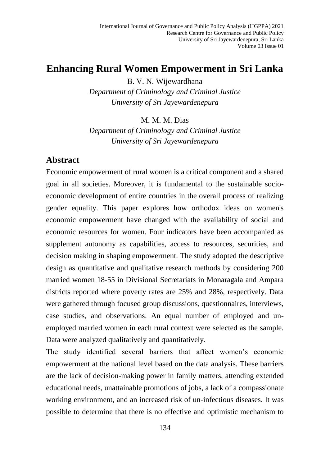# **Enhancing Rural Women Empowerment in Sri Lanka**

B. V. N. Wijewardhana *Department of Criminology and Criminal Justice University of Sri Jayewardenepura*

M. M. M. Dias

*Department of Criminology and Criminal Justice University of Sri Jayewardenepura*

### **Abstract**

Economic empowerment of rural women is a critical component and a shared goal in all societies. Moreover, it is fundamental to the sustainable socioeconomic development of entire countries in the overall process of realizing gender equality. This paper explores how orthodox ideas on women's economic empowerment have changed with the availability of social and economic resources for women. Four indicators have been accompanied as supplement autonomy as capabilities, access to resources, securities, and decision making in shaping empowerment. The study adopted the descriptive design as quantitative and qualitative research methods by considering 200 married women 18-55 in Divisional Secretariats in Monaragala and Ampara districts reported where poverty rates are 25% and 28%, respectively. Data were gathered through focused group discussions, questionnaires, interviews, case studies, and observations. An equal number of employed and unemployed married women in each rural context were selected as the sample. Data were analyzed qualitatively and quantitatively.

The study identified several barriers that affect women's economic empowerment at the national level based on the data analysis. These barriers are the lack of decision-making power in family matters, attending extended educational needs, unattainable promotions of jobs, a lack of a compassionate working environment, and an increased risk of un-infectious diseases. It was possible to determine that there is no effective and optimistic mechanism to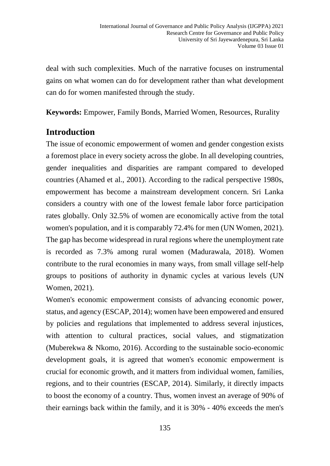deal with such complexities. Much of the narrative focuses on instrumental gains on what women can do for development rather than what development can do for women manifested through the study.

**Keywords:** Empower, Family Bonds, Married Women, Resources, Rurality

# **Introduction**

The issue of economic empowerment of women and gender congestion exists a foremost place in every society across the globe. In all developing countries, gender inequalities and disparities are rampant compared to developed countries (Ahamed et al., 2001). According to the radical perspective 1980s, empowerment has become a mainstream development concern. Sri Lanka considers a country with one of the lowest female labor force participation rates globally. Only 32.5% of women are economically active from the total women's population, and it is comparably 72.4% for men (UN Women, 2021). The gap has become widespread in rural regions where the unemployment rate is recorded as 7.3% among rural women (Madurawala, 2018). Women contribute to the rural economies in many ways, from small village self-help groups to positions of authority in dynamic cycles at various levels (UN Women, 2021).

Women's economic empowerment consists of advancing economic power, status, and agency (ESCAP, 2014); women have been empowered and ensured by policies and regulations that implemented to address several injustices, with attention to cultural practices, social values, and stigmatization (Muberekwa & Nkomo, 2016). According to the sustainable socio-economic development goals, it is agreed that women's economic empowerment is crucial for economic growth, and it matters from individual women, families, regions, and to their countries (ESCAP, 2014). Similarly, it directly impacts to boost the economy of a country. Thus, women invest an average of 90% of their earnings back within the family, and it is 30% - 40% exceeds the men's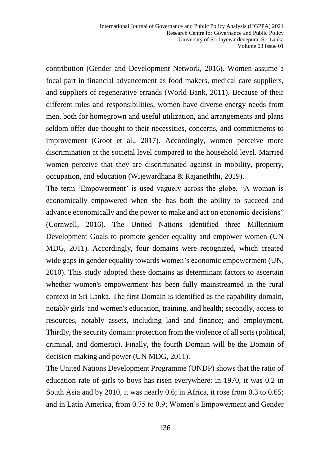contribution (Gender and Development Network, 2016). Women assume a focal part in financial advancement as food makers, medical care suppliers, and suppliers of regenerative errands (World Bank, 2011). Because of their different roles and responsibilities, women have diverse energy needs from men, both for homegrown and useful utilization, and arrangements and plans seldom offer due thought to their necessities, concerns, and commitments to improvement (Groot et al., 2017). Accordingly, women perceive more discrimination at the societal level compared to the household level. Married women perceive that they are discriminated against in mobility, property, occupation, and education (Wijewardhana & Rajaneththi, 2019).

The term 'Empowerment' is used vaguely across the globe. "A woman is economically empowered when she has both the ability to succeed and advance economically and the power to make and act on economic decisions" (Cornwell, 2016). The United Nations identified three Millennium Development Goals to promote gender equality and empower women (UN MDG, 2011). Accordingly, four domains were recognized, which created wide gaps in gender equality towards women's economic empowerment (UN, 2010). This study adopted these domains as determinant factors to ascertain whether women's empowerment has been fully mainstreamed in the rural context in Sri Lanka. The first Domain is identified as the capability domain, notably girls' and women's education, training, and health; secondly, access to resources, notably assets, including land and finance; and employment. Thirdly, the security domain: protection from the violence of all sorts (political, criminal, and domestic). Finally, the fourth Domain will be the Domain of decision-making and power (UN MDG, 2011).

The United Nations Development Programme (UNDP) shows that the ratio of education rate of girls to boys has risen everywhere: in 1970, it was 0.2 in South Asia and by 2010, it was nearly 0.6; in Africa, it rose from 0.3 to 0.65; and in Latin America, from 0.75 to 0.9; Women's Empowerment and Gender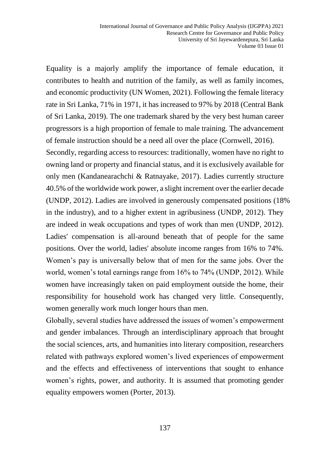Equality is a majorly amplify the importance of female education, it contributes to health and nutrition of the family, as well as family incomes, and economic productivity (UN Women, 2021). Following the female literacy rate in Sri Lanka, 71% in 1971, it has increased to 97% by 2018 (Central Bank of Sri Lanka, 2019). The one trademark shared by the very best human career progressors is a high proportion of female to male training. The advancement of female instruction should be a need all over the place (Cornwell, 2016). Secondly, regarding access to resources: traditionally, women have no right to owning land or property and financial status, and it is exclusively available for only men (Kandanearachchi & Ratnayake, 2017). Ladies currently structure 40.5% of the worldwide work power, a slight increment over the earlier decade (UNDP, 2012). Ladies are involved in generously compensated positions (18% in the industry), and to a higher extent in agribusiness (UNDP, 2012). They are indeed in weak occupations and types of work than men (UNDP, 2012). Ladies' compensation is all-around beneath that of people for the same positions. Over the world, ladies' absolute income ranges from 16% to 74%. Women's pay is universally below that of men for the same jobs. Over the world, women's total earnings range from 16% to 74% (UNDP, 2012). While women have increasingly taken on paid employment outside the home, their responsibility for household work has changed very little. Consequently, women generally work much longer hours than men.

Globally, several studies have addressed the issues of women's empowerment and gender imbalances. Through an interdisciplinary approach that brought the social sciences, arts, and humanities into literary composition, researchers related with pathways explored women's lived experiences of empowerment and the effects and effectiveness of interventions that sought to enhance women's rights, power, and authority. It is assumed that promoting gender equality empowers women (Porter, 2013).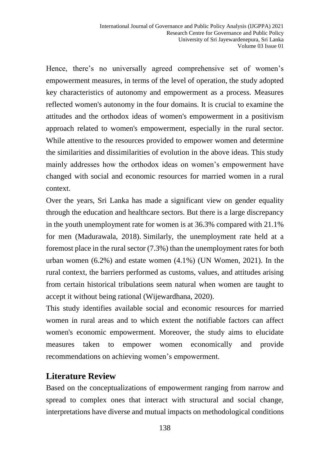Hence, there's no universally agreed comprehensive set of women's empowerment measures, in terms of the level of operation, the study adopted key characteristics of autonomy and empowerment as a process. Measures reflected women's autonomy in the four domains. It is crucial to examine the attitudes and the orthodox ideas of women's empowerment in a positivism approach related to women's empowerment, especially in the rural sector. While attentive to the resources provided to empower women and determine the similarities and dissimilarities of evolution in the above ideas. This study mainly addresses how the orthodox ideas on women's empowerment have changed with social and economic resources for married women in a rural context.

Over the years, Sri Lanka has made a significant view on gender equality through the education and healthcare sectors. But there is a large discrepancy in the youth unemployment rate for women is at 36.3% compared with 21.1% for men (Madurawala, 2018). Similarly, the unemployment rate held at a foremost place in the rural sector (7.3%) than the unemployment rates for both urban women (6.2%) and estate women (4.1%) (UN Women, 2021). In the rural context, the barriers performed as customs, values, and attitudes arising from certain historical tribulations seem natural when women are taught to accept it without being rational (Wijewardhana, 2020).

This study identifies available social and economic resources for married women in rural areas and to which extent the notifiable factors can affect women's economic empowerment. Moreover, the study aims to elucidate measures taken to empower women economically and provide recommendations on achieving women's empowerment.

### **Literature Review**

Based on the conceptualizations of empowerment ranging from narrow and spread to complex ones that interact with structural and social change, interpretations have diverse and mutual impacts on methodological conditions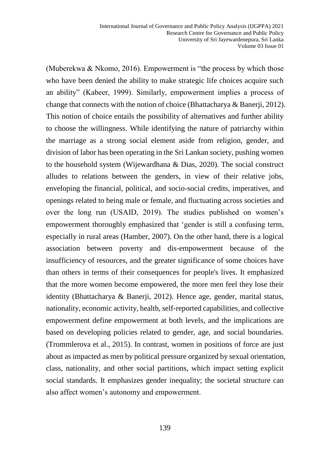(Muberekwa & Nkomo, 2016). Empowerment is "the process by which those who have been denied the ability to make strategic life choices acquire such an ability" (Kabeer, 1999). Similarly, empowerment implies a process of change that connects with the notion of choice (Bhattacharya & Banerji, 2012). This notion of choice entails the possibility of alternatives and further ability to choose the willingness. While identifying the nature of patriarchy within the marriage as a strong social element aside from religion, gender, and division of labor has been operating in the Sri Lankan society, pushing women to the household system (Wijewardhana & Dias, 2020). The social construct alludes to relations between the genders, in view of their relative jobs, enveloping the financial, political, and socio-social credits, imperatives, and openings related to being male or female, and fluctuating across societies and over the long run (USAID, 2019). The studies published on women's empowerment thoroughly emphasized that 'gender is still a confusing term, especially in rural areas (Hamber, 2007). On the other hand, there is a logical association between poverty and dis-empowerment because of the insufficiency of resources, and the greater significance of some choices have than others in terms of their consequences for people's lives. It emphasized that the more women become empowered, the more men feel they lose their identity (Bhattacharya & Banerji, 2012). Hence age, gender, marital status, nationality, economic activity, health, self-reported capabilities, and collective empowerment define empowerment at both levels, and the implications are based on developing policies related to gender, age, and social boundaries. (Trommlerova et al., 2015). In contrast, women in positions of force are just about as impacted as men by political pressure organized by sexual orientation, class, nationality, and other social partitions, which impact setting explicit social standards. It emphasizes gender inequality; the societal structure can also affect women's autonomy and empowerment.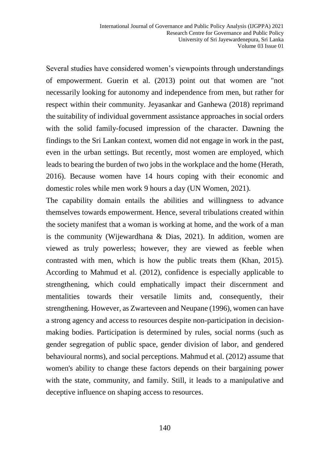Several studies have considered women's viewpoints through understandings of empowerment. Guerin et al. (2013) point out that women are "not necessarily looking for autonomy and independence from men, but rather for respect within their community. Jeyasankar and Ganhewa (2018) reprimand the suitability of individual government assistance approaches in social orders with the solid family-focused impression of the character. Dawning the findings to the Sri Lankan context, women did not engage in work in the past, even in the urban settings. But recently, most women are employed, which leads to bearing the burden of two jobs in the workplace and the home (Herath, 2016). Because women have 14 hours coping with their economic and domestic roles while men work 9 hours a day (UN Women, 2021).

The capability domain entails the abilities and willingness to advance themselves towards empowerment. Hence, several tribulations created within the society manifest that a woman is working at home, and the work of a man is the community (Wijewardhana & Dias, 2021). In addition, women are viewed as truly powerless; however, they are viewed as feeble when contrasted with men, which is how the public treats them (Khan, 2015). According to Mahmud et al. (2012), confidence is especially applicable to strengthening, which could emphatically impact their discernment and mentalities towards their versatile limits and, consequently, their strengthening. However, as Zwarteveen and Neupane (1996), women can have a strong agency and access to resources despite non-participation in decisionmaking bodies. Participation is determined by rules, social norms (such as gender segregation of public space, gender division of labor, and gendered behavioural norms), and social perceptions. Mahmud et al. (2012) assume that women's ability to change these factors depends on their bargaining power with the state, community, and family. Still, it leads to a manipulative and deceptive influence on shaping access to resources.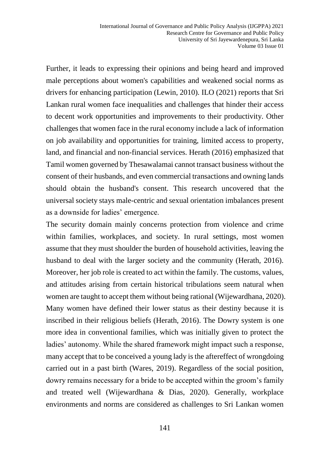Further, it leads to expressing their opinions and being heard and improved male perceptions about women's capabilities and weakened social norms as drivers for enhancing participation (Lewin, 2010). ILO (2021) reports that Sri Lankan rural women face inequalities and challenges that hinder their access to decent work opportunities and improvements to their productivity. Other challenges that women face in the rural economy include a lack of information on job availability and opportunities for training, limited access to property, land, and financial and non-financial services. Herath (2016) emphasized that Tamil women governed by Thesawalamai cannot transact business without the consent of their husbands, and even commercial transactions and owning lands should obtain the husband's consent. This research uncovered that the universal society stays male-centric and sexual orientation imbalances present as a downside for ladies' emergence.

The security domain mainly concerns protection from violence and crime within families, workplaces, and society. In rural settings, most women assume that they must shoulder the burden of household activities, leaving the husband to deal with the larger society and the community (Herath, 2016). Moreover, her job role is created to act within the family. The customs, values, and attitudes arising from certain historical tribulations seem natural when women are taught to accept them without being rational (Wijewardhana, 2020). Many women have defined their lower status as their destiny because it is inscribed in their religious beliefs (Herath, 2016). The Dowry system is one more idea in conventional families, which was initially given to protect the ladies' autonomy. While the shared framework might impact such a response, many accept that to be conceived a young lady is the aftereffect of wrongdoing carried out in a past birth (Wares, 2019). Regardless of the social position, dowry remains necessary for a bride to be accepted within the groom's family and treated well (Wijewardhana & Dias, 2020). Generally, workplace environments and norms are considered as challenges to Sri Lankan women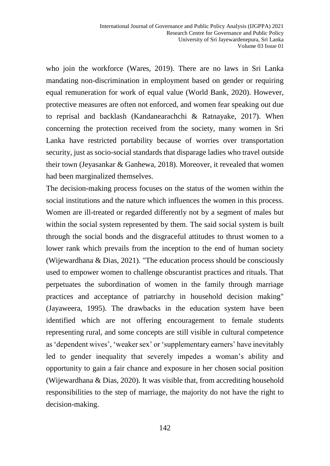who join the workforce (Wares, 2019). There are no laws in Sri Lanka mandating non-discrimination in employment based on gender or requiring equal remuneration for work of equal value (World Bank, 2020). However, protective measures are often not enforced, and women fear speaking out due to reprisal and backlash (Kandanearachchi & Ratnayake, 2017). When concerning the protection received from the society, many women in Sri Lanka have restricted portability because of worries over transportation security, just as socio-social standards that disparage ladies who travel outside their town (Jeyasankar & Ganhewa, 2018). Moreover, it revealed that women had been marginalized themselves.

The decision-making process focuses on the status of the women within the social institutions and the nature which influences the women in this process. Women are ill-treated or regarded differently not by a segment of males but within the social system represented by them. The said social system is built through the social bonds and the disgraceful attitudes to thrust women to a lower rank which prevails from the inception to the end of human society (Wijewardhana & Dias, 2021). "The education process should be consciously used to empower women to challenge obscurantist practices and rituals. That perpetuates the subordination of women in the family through marriage practices and acceptance of patriarchy in household decision making" (Jayaweera, 1995). The drawbacks in the education system have been identified which are not offering encouragement to female students representing rural, and some concepts are still visible in cultural competence as 'dependent wives', 'weaker sex' or 'supplementary earners' have inevitably led to gender inequality that severely impedes a woman's ability and opportunity to gain a fair chance and exposure in her chosen social position (Wijewardhana & Dias, 2020). It was visible that, from accrediting household responsibilities to the step of marriage, the majority do not have the right to decision-making.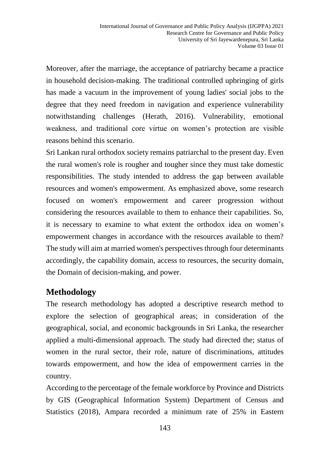Moreover, after the marriage, the acceptance of patriarchy became a practice in household decision-making. The traditional controlled upbringing of girls has made a vacuum in the improvement of young ladies' social jobs to the degree that they need freedom in navigation and experience vulnerability notwithstanding challenges (Herath, 2016). Vulnerability, emotional weakness, and traditional core virtue on women's protection are visible reasons behind this scenario.

Sri Lankan rural orthodox society remains patriarchal to the present day. Even the rural women's role is rougher and tougher since they must take domestic responsibilities. The study intended to address the gap between available resources and women's empowerment. As emphasized above, some research focused on women's empowerment and career progression without considering the resources available to them to enhance their capabilities. So, it is necessary to examine to what extent the orthodox idea on women's empowerment changes in accordance with the resources available to them? The study will aim at married women's perspectives through four determinants accordingly, the capability domain, access to resources, the security domain, the Domain of decision-making, and power.

## **Methodology**

The research methodology has adopted a descriptive research method to explore the selection of geographical areas; in consideration of the geographical, social, and economic backgrounds in Sri Lanka, the researcher applied a multi-dimensional approach. The study had directed the; status of women in the rural sector, their role, nature of discriminations, attitudes towards empowerment, and how the idea of empowerment carries in the country.

According to the percentage of the female workforce by Province and Districts by GIS (Geographical Information System) Department of Census and Statistics (2018), Ampara recorded a minimum rate of 25% in Eastern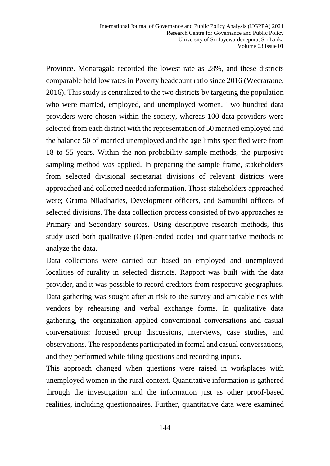Province. Monaragala recorded the lowest rate as 28%, and these districts comparable held low rates in Poverty headcount ratio since 2016 (Weeraratne, 2016). This study is centralized to the two districts by targeting the population who were married, employed, and unemployed women. Two hundred data providers were chosen within the society, whereas 100 data providers were selected from each district with the representation of 50 married employed and the balance 50 of married unemployed and the age limits specified were from 18 to 55 years. Within the non-probability sample methods, the purposive sampling method was applied. In preparing the sample frame, stakeholders from selected divisional secretariat divisions of relevant districts were approached and collected needed information. Those stakeholders approached were; Grama Niladharies, Development officers, and Samurdhi officers of selected divisions. The data collection process consisted of two approaches as Primary and Secondary sources. Using descriptive research methods, this study used both qualitative (Open-ended code) and quantitative methods to analyze the data.

Data collections were carried out based on employed and unemployed localities of rurality in selected districts. Rapport was built with the data provider, and it was possible to record creditors from respective geographies. Data gathering was sought after at risk to the survey and amicable ties with vendors by rehearsing and verbal exchange forms. In qualitative data gathering, the organization applied conventional conversations and casual conversations: focused group discussions, interviews, case studies, and observations. The respondents participated in formal and casual conversations, and they performed while filing questions and recording inputs.

This approach changed when questions were raised in workplaces with unemployed women in the rural context. Quantitative information is gathered through the investigation and the information just as other proof-based realities, including questionnaires. Further, quantitative data were examined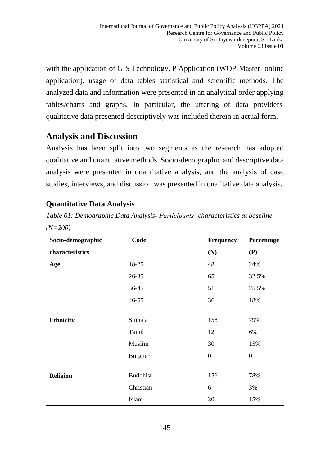with the application of GIS Technology, P Application (WOP-Master- online application), usage of data tables statistical and scientific methods. The analyzed data and information were presented in an analytical order applying tables/charts and graphs. In particular, the uttering of data providers' qualitative data presented descriptively was included therein in actual form.

# **Analysis and Discussion**

Analysis has been split into two segments as the research has adopted qualitative and quantitative methods. Socio-demographic and descriptive data analysis were presented in quantitative analysis, and the analysis of case studies, interviews, and discussion was presented in qualitative data analysis.

### **Quantitative Data Analysis**

*Table 01: Demographic Data Analysis- Participants' characteristics at baseline (N=200)*

| Socio-demographic | Code            | Frequency        | Percentage       |
|-------------------|-----------------|------------------|------------------|
| characteristics   |                 | (N)              | (P)              |
| Age               | 18-25           | 48               | 24%              |
|                   | 26-35           | 65               | 32.5%            |
|                   | 36-45           | 51               | 25.5%            |
|                   | $46 - 55$       | 36               | 18%              |
|                   |                 |                  |                  |
| <b>Ethnicity</b>  | Sinhala         | 158              | 79%              |
|                   | Tamil           | 12               | 6%               |
|                   | Muslim          | 30               | 15%              |
|                   | <b>Burgher</b>  | $\boldsymbol{0}$ | $\boldsymbol{0}$ |
|                   |                 |                  |                  |
| <b>Religion</b>   | <b>Buddhist</b> | 156              | 78%              |
|                   | Christian       | 6                | 3%               |
|                   | Islam           | 30               | 15%              |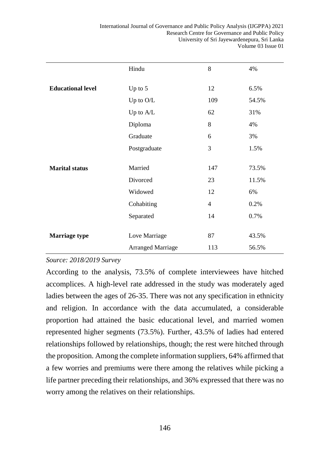|                          | Hindu                    | 8              | 4%    |
|--------------------------|--------------------------|----------------|-------|
| <b>Educational level</b> | Up to $5$                | 12             | 6.5%  |
|                          | Up to O/L                | 109            | 54.5% |
|                          | Up to A/L                | 62             | 31%   |
|                          |                          |                |       |
|                          | Diploma                  | 8              | 4%    |
|                          | Graduate                 | 6              | 3%    |
|                          | Postgraduate             | 3              | 1.5%  |
|                          |                          |                |       |
| <b>Marital status</b>    | Married                  | 147            | 73.5% |
|                          | Divorced                 | 23             | 11.5% |
|                          | Widowed                  | 12             | 6%    |
|                          | Cohabiting               | $\overline{4}$ | 0.2%  |
|                          | Separated                | 14             | 0.7%  |
|                          |                          |                |       |
| <b>Marriage type</b>     | Love Marriage            | 87             | 43.5% |
|                          | <b>Arranged Marriage</b> | 113            | 56.5% |

#### *Source: 2018/2019 Survey*

According to the analysis, 73.5% of complete interviewees have hitched accomplices. A high-level rate addressed in the study was moderately aged ladies between the ages of 26-35. There was not any specification in ethnicity and religion. In accordance with the data accumulated, a considerable proportion had attained the basic educational level, and married women represented higher segments (73.5%). Further, 43.5% of ladies had entered relationships followed by relationships, though; the rest were hitched through the proposition. Among the complete information suppliers, 64% affirmed that a few worries and premiums were there among the relatives while picking a life partner preceding their relationships, and 36% expressed that there was no worry among the relatives on their relationships.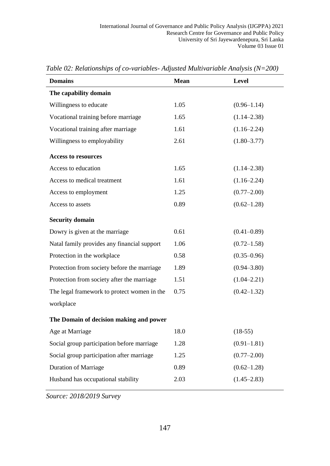| <b>Domains</b>                              | Mean | Level           |  |  |  |
|---------------------------------------------|------|-----------------|--|--|--|
| The capability domain                       |      |                 |  |  |  |
| Willingness to educate                      | 1.05 | $(0.96 - 1.14)$ |  |  |  |
| Vocational training before marriage         | 1.65 | $(1.14 - 2.38)$ |  |  |  |
| Vocational training after marriage          | 1.61 | $(1.16 - 2.24)$ |  |  |  |
| Willingness to employability                | 2.61 | $(1.80 - 3.77)$ |  |  |  |
| <b>Access to resources</b>                  |      |                 |  |  |  |
| Access to education                         | 1.65 | $(1.14 - 2.38)$ |  |  |  |
| Access to medical treatment                 | 1.61 | $(1.16 - 2.24)$ |  |  |  |
| Access to employment                        | 1.25 | $(0.77 - 2.00)$ |  |  |  |
| Access to assets                            | 0.89 | $(0.62 - 1.28)$ |  |  |  |
| <b>Security domain</b>                      |      |                 |  |  |  |
| Dowry is given at the marriage              | 0.61 | $(0.41 - 0.89)$ |  |  |  |
| Natal family provides any financial support | 1.06 | $(0.72 - 1.58)$ |  |  |  |
| Protection in the workplace                 | 0.58 | $(0.35 - 0.96)$ |  |  |  |
| Protection from society before the marriage | 1.89 | $(0.94 - 3.80)$ |  |  |  |
| Protection from society after the marriage  | 1.51 | $(1.04 - 2.21)$ |  |  |  |
| The legal framework to protect women in the | 0.75 | $(0.42 - 1.32)$ |  |  |  |
| workplace                                   |      |                 |  |  |  |
| The Domain of decision making and power     |      |                 |  |  |  |
| Age at Marriage                             | 18.0 | $(18-55)$       |  |  |  |
| Social group participation before marriage  | 1.28 | $(0.91 - 1.81)$ |  |  |  |
| Social group participation after marriage   | 1.25 | $(0.77 - 2.00)$ |  |  |  |
| <b>Duration of Marriage</b>                 | 0.89 | $(0.62 - 1.28)$ |  |  |  |
| Husband has occupational stability          | 2.03 | $(1.45 - 2.83)$ |  |  |  |

*Table 02: Relationships of co-variables- Adjusted Multivariable Analysis (N=200)*

*Source: 2018/2019 Survey*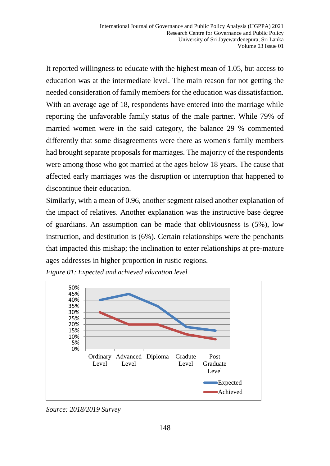It reported willingness to educate with the highest mean of 1.05, but access to education was at the intermediate level. The main reason for not getting the needed consideration of family members for the education was dissatisfaction. With an average age of 18, respondents have entered into the marriage while reporting the unfavorable family status of the male partner. While 79% of married women were in the said category, the balance 29 % commented differently that some disagreements were there as women's family members had brought separate proposals for marriages. The majority of the respondents were among those who got married at the ages below 18 years. The cause that affected early marriages was the disruption or interruption that happened to discontinue their education

Similarly, with a mean of 0.96, another segment raised another explanation of the impact of relatives. Another explanation was the instructive base degree of guardians. An assumption can be made that obliviousness is (5%), low instruction, and destitution is (6%). Certain relationships were the penchants that impacted this mishap; the inclination to enter relationships at pre-mature ages addresses in higher proportion in rustic regions.

*Figure 01: Expected and achieved education level*



*Source: 2018/2019 Survey*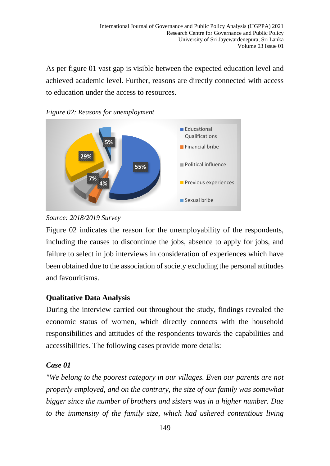As per figure 01 vast gap is visible between the expected education level and achieved academic level. Further, reasons are directly connected with access to education under the access to resources.







Figure 02 indicates the reason for the unemployability of the respondents, including the causes to discontinue the jobs, absence to apply for jobs, and failure to select in job interviews in consideration of experiences which have been obtained due to the association of society excluding the personal attitudes and favouritisms.

## **Qualitative Data Analysis**

During the interview carried out throughout the study, findings revealed the economic status of women, which directly connects with the household responsibilities and attitudes of the respondents towards the capabilities and accessibilities. The following cases provide more details:

### *Case 01*

*"We belong to the poorest category in our villages. Even our parents are not properly employed, and on the contrary, the size of our family was somewhat bigger since the number of brothers and sisters was in a higher number. Due to the immensity of the family size, which had ushered contentious living*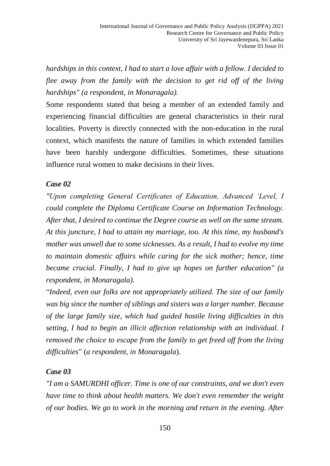*hardships in this context, I had to start a love affair with a fellow. I decided to flee away from the family with the decision to get rid off of the living hardships" (a respondent, in Monaragala).* 

Some respondents stated that being a member of an extended family and experiencing financial difficulties are general characteristics in their rural localities. Poverty is directly connected with the non-education in the rural context, which manifests the nature of families in which extended families have been harshly undergone difficulties. Sometimes, these situations influence rural women to make decisions in their lives.

#### *Case 02*

*"Upon completing General Certificates of Education, Advanced 'Level, I could complete the Diploma Certificate Course on Information Technology. After that, I desired to continue the Degree course as well on the same stream. At this juncture, I had to attain my marriage, too. At this time, my husband's mother was unwell due to some sicknesses. As a result, I had to evolve my time to maintain domestic affairs while caring for the sick mother; hence, time became crucial. Finally, I had to give up hopes on further education" (a respondent, in Monaragala).*

"*Indeed, even our folks are not appropriately utilized. The size of our family was big since the number of siblings and sisters was a larger number. Because of the large family size, which had guided hostile living difficulties in this setting, I had to begin an illicit affection relationship with an individual. I removed the choice to escape from the family to get freed off from the living difficulties*" (*a respondent, in Monaragala*).

#### *Case 03*

*"I am a SAMURDHI officer. Time is one of our constraints, and we don't even have time to think about health matters. We don't even remember the weight of our bodies. We go to work in the morning and return in the evening. After*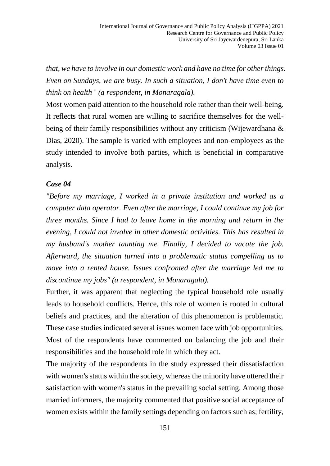*that, we have to involve in our domestic work and have no time for other things. Even on Sundays, we are busy. In such a situation, I don't have time even to think on health" (a respondent, in Monaragala).*

Most women paid attention to the household role rather than their well-being. It reflects that rural women are willing to sacrifice themselves for the wellbeing of their family responsibilities without any criticism (Wijewardhana & Dias, 2020). The sample is varied with employees and non-employees as the study intended to involve both parties, which is beneficial in comparative analysis.

#### *Case 04*

*"Before my marriage, I worked in a private institution and worked as a computer data operator. Even after the marriage, I could continue my job for three months. Since I had to leave home in the morning and return in the evening, I could not involve in other domestic activities. This has resulted in my husband's mother taunting me. Finally, I decided to vacate the job. Afterward, the situation turned into a problematic status compelling us to move into a rented house. Issues confronted after the marriage led me to discontinue my jobs" (a respondent, in Monaragala).*

Further, it was apparent that neglecting the typical household role usually leads to household conflicts. Hence, this role of women is rooted in cultural beliefs and practices, and the alteration of this phenomenon is problematic. These case studies indicated several issues women face with job opportunities. Most of the respondents have commented on balancing the job and their responsibilities and the household role in which they act.

The majority of the respondents in the study expressed their dissatisfaction with women's status within the society, whereas the minority have uttered their satisfaction with women's status in the prevailing social setting. Among those married informers, the majority commented that positive social acceptance of women exists within the family settings depending on factors such as; fertility,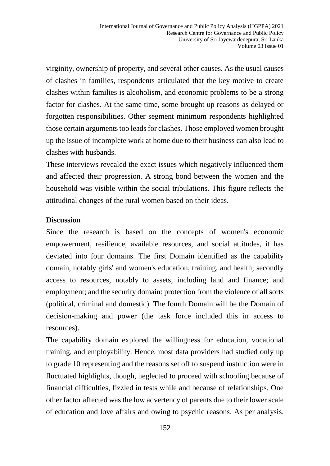virginity, ownership of property, and several other causes. As the usual causes of clashes in families, respondents articulated that the key motive to create clashes within families is alcoholism, and economic problems to be a strong factor for clashes. At the same time, some brought up reasons as delayed or forgotten responsibilities. Other segment minimum respondents highlighted those certain arguments too leads for clashes. Those employed women brought up the issue of incomplete work at home due to their business can also lead to clashes with husbands.

These interviews revealed the exact issues which negatively influenced them and affected their progression. A strong bond between the women and the household was visible within the social tribulations. This figure reflects the attitudinal changes of the rural women based on their ideas.

#### **Discussion**

Since the research is based on the concepts of women's economic empowerment, resilience, available resources, and social attitudes, it has deviated into four domains. The first Domain identified as the capability domain, notably girls' and women's education, training, and health; secondly access to resources, notably to assets, including land and finance; and employment; and the security domain: protection from the violence of all sorts (political, criminal and domestic). The fourth Domain will be the Domain of decision-making and power (the task force included this in access to resources).

The capability domain explored the willingness for education, vocational training, and employability. Hence, most data providers had studied only up to grade 10 representing and the reasons set off to suspend instruction were in fluctuated highlights, though, neglected to proceed with schooling because of financial difficulties, fizzled in tests while and because of relationships. One other factor affected was the low advertency of parents due to their lower scale of education and love affairs and owing to psychic reasons. As per analysis,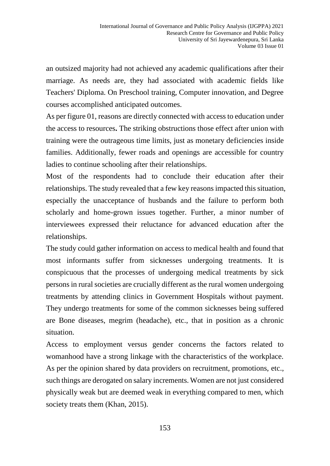an outsized majority had not achieved any academic qualifications after their marriage. As needs are, they had associated with academic fields like Teachers' Diploma. On Preschool training, Computer innovation, and Degree courses accomplished anticipated outcomes.

As per figure 01, reasons are directly connected with access to education under the access to resources**.** The striking obstructions those effect after union with training were the outrageous time limits, just as monetary deficiencies inside families. Additionally, fewer roads and openings are accessible for country ladies to continue schooling after their relationships.

Most of the respondents had to conclude their education after their relationships. The study revealed that a few key reasons impacted this situation, especially the unacceptance of husbands and the failure to perform both scholarly and home-grown issues together. Further, a minor number of interviewees expressed their reluctance for advanced education after the relationships.

The study could gather information on access to medical health and found that most informants suffer from sicknesses undergoing treatments. It is conspicuous that the processes of undergoing medical treatments by sick persons in rural societies are crucially different as the rural women undergoing treatments by attending clinics in Government Hospitals without payment. They undergo treatments for some of the common sicknesses being suffered are Bone diseases, megrim (headache), etc., that in position as a chronic situation.

Access to employment versus gender concerns the factors related to womanhood have a strong linkage with the characteristics of the workplace. As per the opinion shared by data providers on recruitment, promotions, etc., such things are derogated on salary increments. Women are not just considered physically weak but are deemed weak in everything compared to men, which society treats them (Khan, 2015).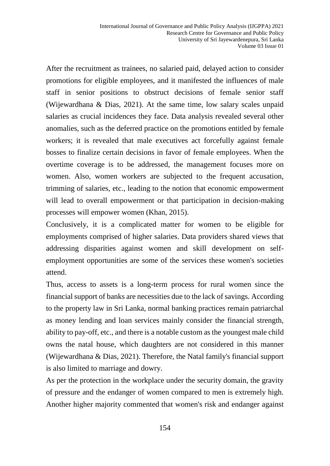After the recruitment as trainees, no salaried paid, delayed action to consider promotions for eligible employees, and it manifested the influences of male staff in senior positions to obstruct decisions of female senior staff (Wijewardhana & Dias, 2021). At the same time, low salary scales unpaid salaries as crucial incidences they face. Data analysis revealed several other anomalies, such as the deferred practice on the promotions entitled by female workers; it is revealed that male executives act forcefully against female bosses to finalize certain decisions in favor of female employees. When the overtime coverage is to be addressed, the management focuses more on women. Also, women workers are subjected to the frequent accusation, trimming of salaries, etc., leading to the notion that economic empowerment will lead to overall empowerment or that participation in decision-making processes will empower women (Khan, 2015).

Conclusively, it is a complicated matter for women to be eligible for employments comprised of higher salaries. Data providers shared views that addressing disparities against women and skill development on selfemployment opportunities are some of the services these women's societies attend.

Thus, access to assets is a long-term process for rural women since the financial support of banks are necessities due to the lack of savings. According to the property law in Sri Lanka, normal banking practices remain patriarchal as money lending and loan services mainly consider the financial strength, ability to pay-off, etc., and there is a notable custom as the youngest male child owns the natal house, which daughters are not considered in this manner (Wijewardhana & Dias, 2021). Therefore, the Natal family's financial support is also limited to marriage and dowry.

As per the protection in the workplace under the security domain, the gravity of pressure and the endanger of women compared to men is extremely high. Another higher majority commented that women's risk and endanger against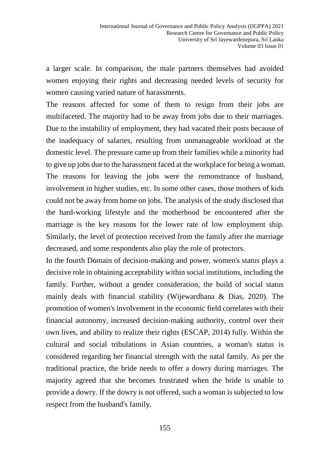a larger scale. In comparison, the male partners themselves had avoided women enjoying their rights and decreasing needed levels of security for women causing varied nature of harassments.

The reasons affected for some of them to resign from their jobs are multifaceted. The majority had to be away from jobs due to their marriages. Due to the instability of employment, they had vacated their posts because of the inadequacy of salaries, resulting from unmanageable workload at the domestic level. The pressure came up from their families while a minority had to give up jobs due to the harassment faced at the workplace for being a woman. The reasons for leaving the jobs were the remonstrance of husband, involvement in higher studies, etc. In some other cases, those mothers of kids could not be away from home on jobs. The analysis of the study disclosed that the hard-working lifestyle and the motherhood be encountered after the marriage is the key reasons for the lower rate of low employment ship. Similarly, the level of protection received from the family after the marriage decreased, and some respondents also play the role of protectors.

In the fourth Domain of decision-making and power, women's status plays a decisive role in obtaining acceptability within social institutions, including the family. Further, without a gender consideration, the build of social status mainly deals with financial stability (Wijewardhana & Dias, 2020). The promotion of women's involvement in the economic field correlates with their financial autonomy, increased decision-making authority, control over their own lives, and ability to realize their rights (ESCAP, 2014) fully. Within the cultural and social tribulations in Asian countries, a woman's status is considered regarding her financial strength with the natal family. As per the traditional practice, the bride needs to offer a dowry during marriages. The majority agreed that she becomes frustrated when the bride is unable to provide a dowry. If the dowry is not offered, such a woman is subjected to low respect from the husband's family.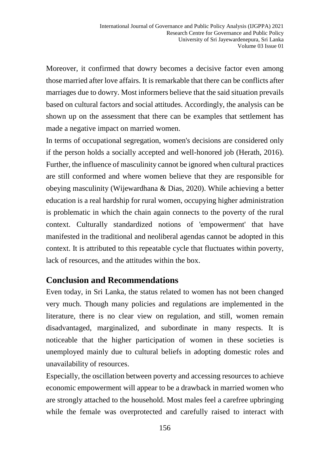Moreover, it confirmed that dowry becomes a decisive factor even among those married after love affairs. It is remarkable that there can be conflicts after marriages due to dowry. Most informers believe that the said situation prevails based on cultural factors and social attitudes. Accordingly, the analysis can be shown up on the assessment that there can be examples that settlement has made a negative impact on married women.

In terms of occupational segregation, women's decisions are considered only if the person holds a socially accepted and well-honored job (Herath, 2016). Further, the influence of masculinity cannot be ignored when cultural practices are still conformed and where women believe that they are responsible for obeying masculinity (Wijewardhana & Dias, 2020). While achieving a better education is a real hardship for rural women, occupying higher administration is problematic in which the chain again connects to the poverty of the rural context. Culturally standardized notions of 'empowerment' that have manifested in the traditional and neoliberal agendas cannot be adopted in this context. It is attributed to this repeatable cycle that fluctuates within poverty, lack of resources, and the attitudes within the box.

### **Conclusion and Recommendations**

Even today, in Sri Lanka, the status related to women has not been changed very much. Though many policies and regulations are implemented in the literature, there is no clear view on regulation, and still, women remain disadvantaged, marginalized, and subordinate in many respects. It is noticeable that the higher participation of women in these societies is unemployed mainly due to cultural beliefs in adopting domestic roles and unavailability of resources.

Especially, the oscillation between poverty and accessing resources to achieve economic empowerment will appear to be a drawback in married women who are strongly attached to the household. Most males feel a carefree upbringing while the female was overprotected and carefully raised to interact with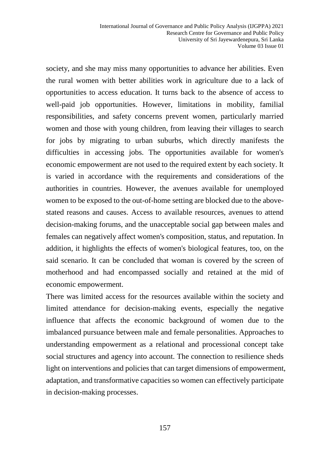society, and she may miss many opportunities to advance her abilities. Even the rural women with better abilities work in agriculture due to a lack of opportunities to access education. It turns back to the absence of access to well-paid job opportunities. However, limitations in mobility, familial responsibilities, and safety concerns prevent women, particularly married women and those with young children, from leaving their villages to search for jobs by migrating to urban suburbs, which directly manifests the difficulties in accessing jobs. The opportunities available for women's economic empowerment are not used to the required extent by each society. It is varied in accordance with the requirements and considerations of the authorities in countries. However, the avenues available for unemployed women to be exposed to the out-of-home setting are blocked due to the abovestated reasons and causes. Access to available resources, avenues to attend decision-making forums, and the unacceptable social gap between males and females can negatively affect women's composition, status, and reputation. In addition, it highlights the effects of women's biological features, too, on the said scenario. It can be concluded that woman is covered by the screen of motherhood and had encompassed socially and retained at the mid of economic empowerment.

There was limited access for the resources available within the society and limited attendance for decision-making events, especially the negative influence that affects the economic background of women due to the imbalanced pursuance between male and female personalities. Approaches to understanding empowerment as a relational and processional concept take social structures and agency into account. The connection to resilience sheds light on interventions and policies that can target dimensions of empowerment, adaptation, and transformative capacities so women can effectively participate in decision-making processes.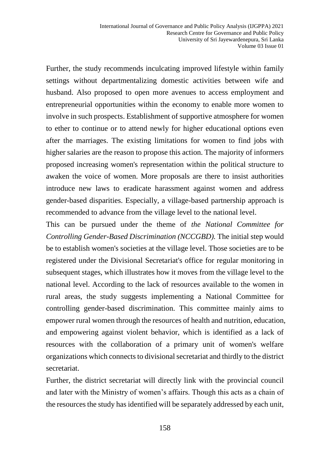Further, the study recommends inculcating improved lifestyle within family settings without departmentalizing domestic activities between wife and husband. Also proposed to open more avenues to access employment and entrepreneurial opportunities within the economy to enable more women to involve in such prospects. Establishment of supportive atmosphere for women to ether to continue or to attend newly for higher educational options even after the marriages. The existing limitations for women to find jobs with higher salaries are the reason to propose this action. The majority of informers proposed increasing women's representation within the political structure to awaken the voice of women. More proposals are there to insist authorities introduce new laws to eradicate harassment against women and address gender-based disparities. Especially, a village-based partnership approach is recommended to advance from the village level to the national level.

This can be pursued under the theme of *the National Committee for Controlling Gender-Based Discrimination (NCCGBD).* The initial step would be to establish women's societies at the village level. Those societies are to be registered under the Divisional Secretariat's office for regular monitoring in subsequent stages, which illustrates how it moves from the village level to the national level. According to the lack of resources available to the women in rural areas, the study suggests implementing a National Committee for controlling gender-based discrimination. This committee mainly aims to empower rural women through the resources of health and nutrition, education, and empowering against violent behavior, which is identified as a lack of resources with the collaboration of a primary unit of women's welfare organizations which connects to divisional secretariat and thirdly to the district secretariat.

Further, the district secretariat will directly link with the provincial council and later with the Ministry of women's affairs. Though this acts as a chain of the resources the study has identified will be separately addressed by each unit,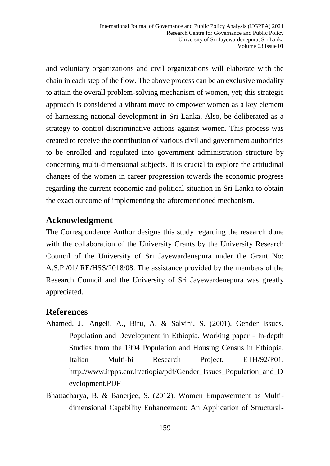and voluntary organizations and civil organizations will elaborate with the chain in each step of the flow. The above process can be an exclusive modality to attain the overall problem-solving mechanism of women, yet; this strategic approach is considered a vibrant move to empower women as a key element of harnessing national development in Sri Lanka. Also, be deliberated as a strategy to control discriminative actions against women. This process was created to receive the contribution of various civil and government authorities to be enrolled and regulated into government administration structure by concerning multi-dimensional subjects. It is crucial to explore the attitudinal changes of the women in career progression towards the economic progress regarding the current economic and political situation in Sri Lanka to obtain the exact outcome of implementing the aforementioned mechanism.

## **Acknowledgment**

The Correspondence Author designs this study regarding the research done with the collaboration of the University Grants by the University Research Council of the University of Sri Jayewardenepura under the Grant No: A.S.P./01/ RE/HSS/2018/08. The assistance provided by the members of the Research Council and the University of Sri Jayewardenepura was greatly appreciated.

### **References**

- Ahamed, J., Angeli, A., Biru, A. & Salvini, S. (2001). Gender Issues, Population and Development in Ethiopia. Working paper - In-depth Studies from the 1994 Population and Housing Census in Ethiopia, Italian Multi-bi Research Project, ETH/92/P01. http://www.irpps.cnr.it/etiopia/pdf/Gender\_Issues\_Population\_and\_D evelopment.PDF
- Bhattacharya, B. & Banerjee, S. (2012). Women Empowerment as Multidimensional Capability Enhancement: An Application of Structural-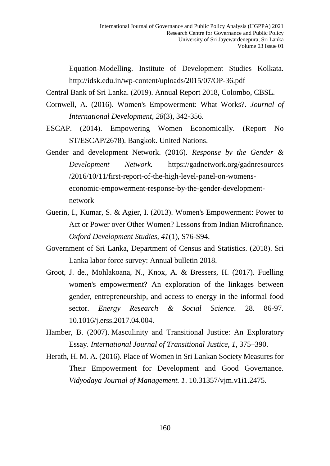Equation-Modelling. Institute of Development Studies Kolkata. http://idsk.edu.in/wp-content/uploads/2015/07/OP-36.pdf

Central Bank of Sri Lanka. (2019). Annual Report 2018, Colombo, CBSL.

- Cornwell, A. (2016). Women's Empowerment: What Works?. *Journal of International Development, 28*(3), 342-356.
- ESCAP. (2014). Empowering Women Economically. (Report No ST/ESCAP/2678). Bangkok. United Nations.
- Gender and development Network. (2016). *Response by the Gender & Development Network.* [https://gadnetwork.org/gadnresources](https://gadnetwork.org/gadnresources%20/2016/10/11/first-report-of-the-high-level-panel-on-womens-economic-empowerment-response-by-the-gender-development-network)  [/2016/10/11/first-report-of-the-high-level-panel-on-womens](https://gadnetwork.org/gadnresources%20/2016/10/11/first-report-of-the-high-level-panel-on-womens-economic-empowerment-response-by-the-gender-development-network)[economic-empowerment-response-by-the-gender-development](https://gadnetwork.org/gadnresources%20/2016/10/11/first-report-of-the-high-level-panel-on-womens-economic-empowerment-response-by-the-gender-development-network)[network](https://gadnetwork.org/gadnresources%20/2016/10/11/first-report-of-the-high-level-panel-on-womens-economic-empowerment-response-by-the-gender-development-network)
- Guerin, I., Kumar, S. & Agier, I. (2013). Women's Empowerment: Power to Act or Power over Other Women? Lessons from Indian Microfinance. *Oxford Development Studies, 41*(1), S76-S94.
- Government of Sri Lanka, Department of Census and Statistics. (2018). Sri Lanka labor force survey: Annual bulletin 2018.
- Groot, J. de., Mohlakoana, N., Knox, A. & Bressers, H. (2017). Fuelling women's empowerment? An exploration of the linkages between gender, entrepreneurship, and access to energy in the informal food sector. *Energy Research & Social Science*. 28. 86-97. 10.1016/j.erss.2017.04.004.
- Hamber, B. (2007). Masculinity and Transitional Justice: An Exploratory Essay. *International Journal of Transitional Justice, 1*, 375–390.
- Herath, H. M. A. (2016). Place of Women in Sri Lankan Society Measures for Their Empowerment for Development and Good Governance. *Vidyodaya Journal of Management. 1*. 10.31357/vjm.v1i1.2475.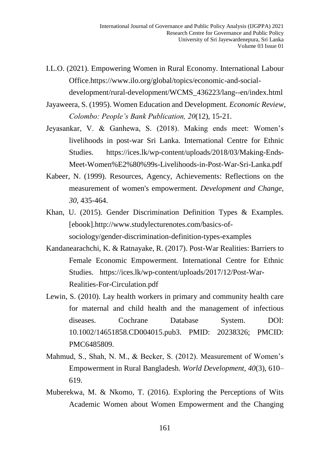- I.L.O. (2021). Empowering Women in Rural Economy. International Labour Office[.https://www.ilo.org/global/topics/economic-and-social](https://www.ilo.org/global/topics/economic-and-social-development/rural-development/WCMS_436223/lang--en/index.html)[development/rural-development/WCMS\\_436223/lang--en/index.html](https://www.ilo.org/global/topics/economic-and-social-development/rural-development/WCMS_436223/lang--en/index.html)
- Jayaweera, S. (1995). Women Education and Development. *Economic Review, Colombo: People's Bank Publication, 20*(12), 15-21.
- Jeyasankar, V. & Ganhewa, S. (2018). Making ends meet: Women's livelihoods in post-war Sri Lanka. International Centre for Ethnic Studies. https://ices.lk/wp-content/uploads/2018/03/Making-Ends-Meet-Women%E2%80%99s-Livelihoods-in-Post-War-Sri-Lanka.pdf
- Kabeer, N. (1999). Resources, Agency, Achievements: Reflections on the measurement of women's empowerment. *Development and Change*, *30*, 435-464.
- Khan, U. (2015). Gender Discrimination Definition Types & Examples. [ebook].http://www.studylecturenotes.com/basics-ofsociology/gender-discrimination-definition-types-examples
- Kandanearachchi, K. & Ratnayake, R. (2017). Post-War Realities: Barriers to Female Economic Empowerment. International Centre for Ethnic Studies. https://ices.lk/wp-content/uploads/2017/12/Post-War-Realities-For-Circulation.pdf
- Lewin, S. (2010). Lay health workers in primary and community health care for maternal and child health and the management of infectious diseases. Cochrane Database System. DOI: 10.1002/14651858.CD004015.pub3. PMID: 20238326; PMCID: PMC6485809.
- Mahmud, S., Shah, N. M., & Becker, S. (2012). Measurement of Women's Empowerment in Rural Bangladesh. *World Development, 40*(3), 610– 619.
- Muberekwa, M. & Nkomo, T. (2016). Exploring the Perceptions of Wits Academic Women about Women Empowerment and the Changing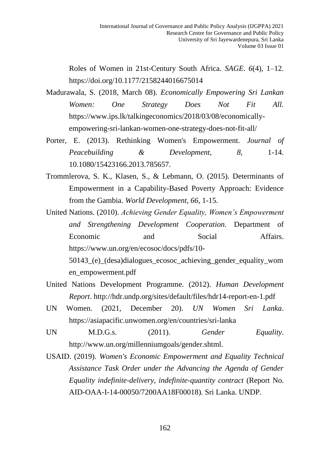Roles of Women in 21st-Century South Africa. *SAGE*. *6*(4), 1–12. https://doi.org/10.1177/2158244016675014

- Madurawala, S. (2018, March 08). *Economically Empowering Sri Lankan Women: One Strategy Does Not Fit All.*  [https://www.ips.lk/talkingeconomics/2018/03/08/economically](https://www.ips.lk/talkingeconomics/2018/03/08/economically-empowering-sri-lankan-women-one-strategy-does-not-fit-all/)[empowering-sri-lankan-women-one-strategy-does-not-fit-all/](https://www.ips.lk/talkingeconomics/2018/03/08/economically-empowering-sri-lankan-women-one-strategy-does-not-fit-all/)
- Porter, E. (2013). Rethinking Women's Empowerment. *Journal of Peacebuilding* & *Development,* 8, 1-14. 10.1080/15423166.2013.785657.
- Trommlerova, S. K., Klasen, S., & Lebmann, O. (2015). Determinants of Empowerment in a Capability-Based Poverty Approach: Evidence from the Gambia. *World Development, 66*, 1-15.

United Nations. (2010). *Achieving Gender Equality, Women's Empowerment and Strengthening Development Cooperation.* Department of Economic and Social Affairs. https://www.un.org/en/ecosoc/docs/pdfs/10- 50143\_(e)\_(desa)dialogues\_ecosoc\_achieving\_gender\_equality\_wom en\_empowerment.pdf

- United Nations Development Programme. (2012). *Human Development Report*.<http://hdr.undp.org/sites/default/files/hdr14-report-en-1.pdf>
- UN Women. (2021, December 20). *UN Women Sri Lanka*. <https://asiapacific.unwomen.org/en/countries/sri-lanka>
- UN M.D.G.s. (2011). *Gender Equality*. <http://www.un.org/millenniumgoals/gender.shtml.>
- USAID. (2019). *Women's Economic Empowerment and Equality Technical Assistance Task Order under the Advancing the Agenda of Gender Equality indefinite-delivery, indefinite-quantity contract* (Report No. AID-OAA-I-14-00050/7200AA18F00018). Sri Lanka. UNDP.